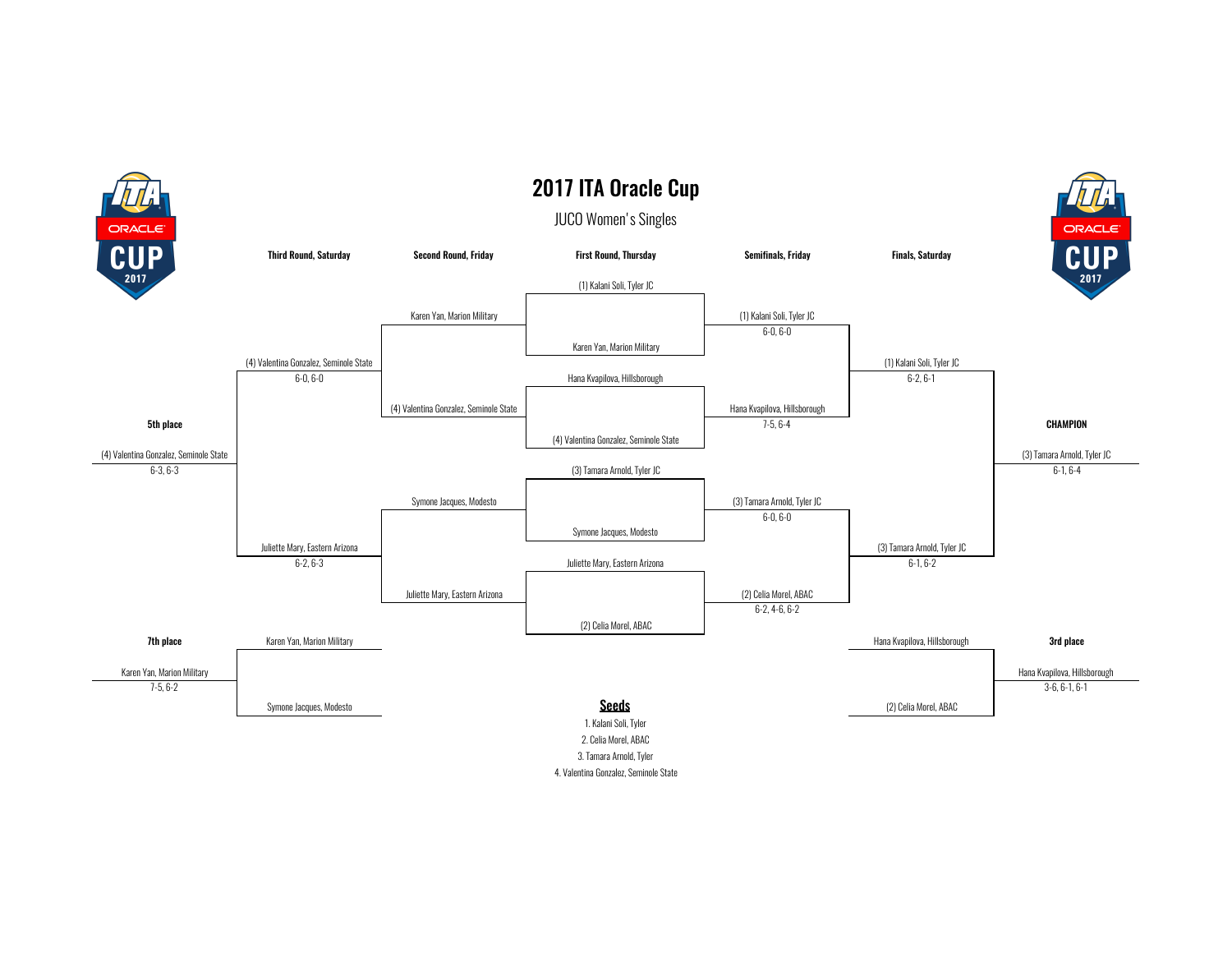